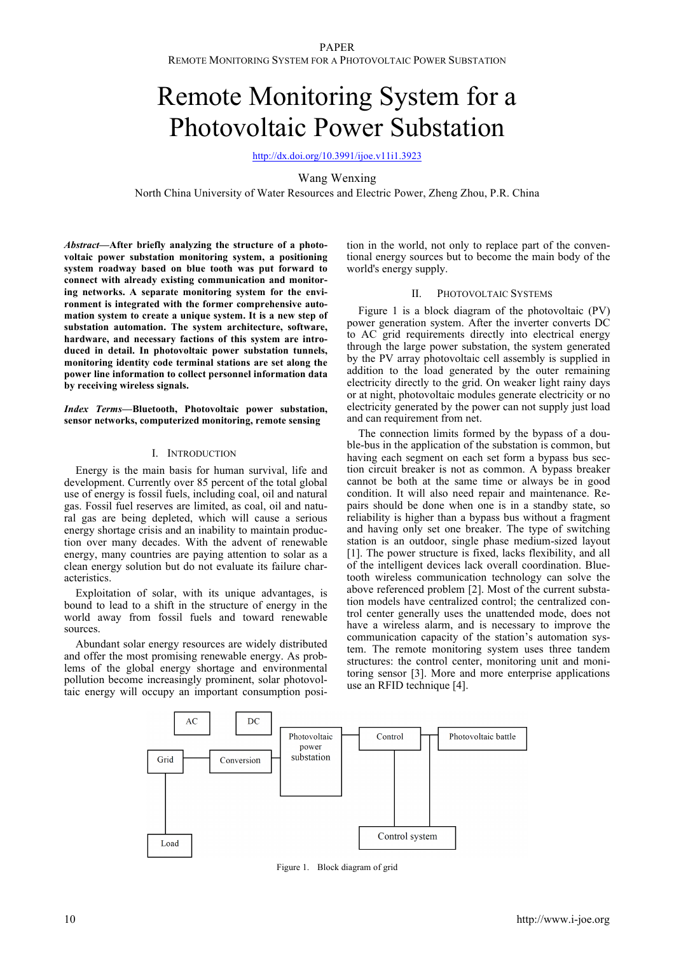# Remote Monitoring System for a Photovoltaic Power Substation

http://dx.doi.org/10.3991/ijoe.v11i1.3923

Wang Wenxing

North China University of Water Resources and Electric Power, Zheng Zhou, P.R. China

*Abstract***—After briefly analyzing the structure of a photovoltaic power substation monitoring system, a positioning system roadway based on blue tooth was put forward to connect with already existing communication and monitoring networks. A separate monitoring system for the environment is integrated with the former comprehensive automation system to create a unique system. It is a new step of substation automation. The system architecture, software, hardware, and necessary factions of this system are introduced in detail. In photovoltaic power substation tunnels, monitoring identity code terminal stations are set along the power line information to collect personnel information data by receiving wireless signals.**

*Index Terms—***Bluetooth, Photovoltaic power substation, sensor networks, computerized monitoring, remote sensing**

# I. INTRODUCTION

Energy is the main basis for human survival, life and development. Currently over 85 percent of the total global use of energy is fossil fuels, including coal, oil and natural gas. Fossil fuel reserves are limited, as coal, oil and natural gas are being depleted, which will cause a serious energy shortage crisis and an inability to maintain production over many decades. With the advent of renewable energy, many countries are paying attention to solar as a clean energy solution but do not evaluate its failure characteristics.

Exploitation of solar, with its unique advantages, is bound to lead to a shift in the structure of energy in the world away from fossil fuels and toward renewable sources.

Abundant solar energy resources are widely distributed and offer the most promising renewable energy. As problems of the global energy shortage and environmental pollution become increasingly prominent, solar photovoltaic energy will occupy an important consumption position in the world, not only to replace part of the conventional energy sources but to become the main body of the world's energy supply.

# II. PHOTOVOLTAIC SYSTEMS

Figure 1 is a block diagram of the photovoltaic (PV) power generation system. After the inverter converts DC to AC grid requirements directly into electrical energy through the large power substation, the system generated by the PV array photovoltaic cell assembly is supplied in addition to the load generated by the outer remaining electricity directly to the grid. On weaker light rainy days or at night, photovoltaic modules generate electricity or no electricity generated by the power can not supply just load and can requirement from net.

The connection limits formed by the bypass of a double-bus in the application of the substation is common, but having each segment on each set form a bypass bus section circuit breaker is not as common. A bypass breaker cannot be both at the same time or always be in good condition. It will also need repair and maintenance. Repairs should be done when one is in a standby state, so reliability is higher than a bypass bus without a fragment and having only set one breaker. The type of switching station is an outdoor, single phase medium-sized layout [1]. The power structure is fixed, lacks flexibility, and all of the intelligent devices lack overall coordination. Bluetooth wireless communication technology can solve the above referenced problem [2]. Most of the current substation models have centralized control; the centralized control center generally uses the unattended mode, does not have a wireless alarm, and is necessary to improve the communication capacity of the station's automation system. The remote monitoring system uses three tandem structures: the control center, monitoring unit and monitoring sensor [3]. More and more enterprise applications use an RFID technique [4].



Figure 1. Block diagram of grid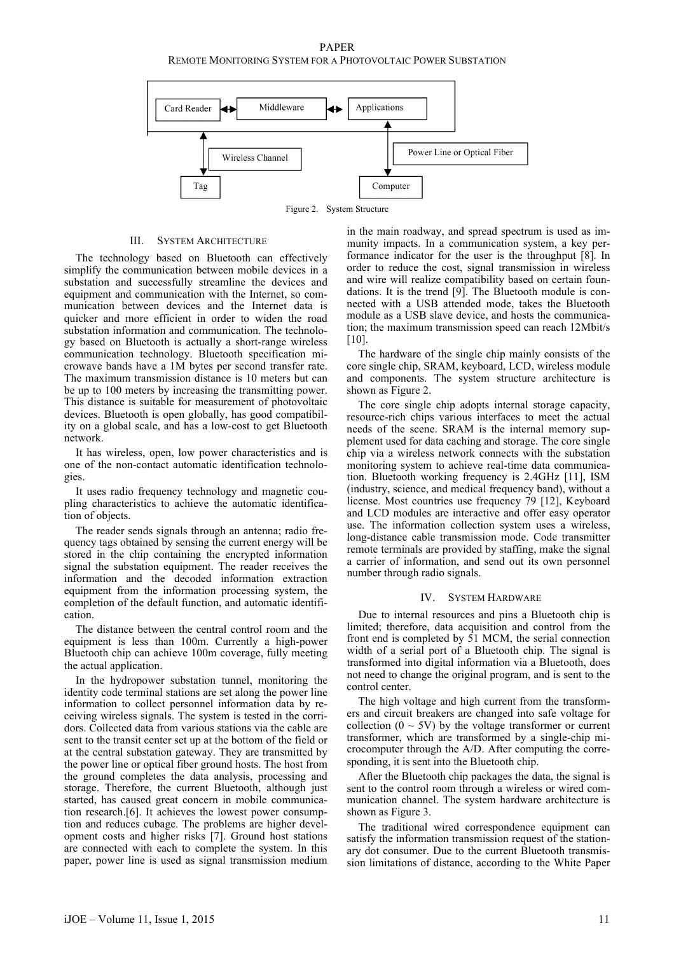PAPER

REMOTE MONITORING SYSTEM FOR A PHOTOVOLTAIC POWER SUBSTATION



Figure 2. System Structure

## III. SYSTEM ARCHITECTURE

The technology based on Bluetooth can effectively simplify the communication between mobile devices in a substation and successfully streamline the devices and equipment and communication with the Internet, so communication between devices and the Internet data is quicker and more efficient in order to widen the road substation information and communication. The technology based on Bluetooth is actually a short-range wireless communication technology. Bluetooth specification microwave bands have a 1M bytes per second transfer rate. The maximum transmission distance is 10 meters but can be up to 100 meters by increasing the transmitting power. This distance is suitable for measurement of photovoltaic devices. Bluetooth is open globally, has good compatibility on a global scale, and has a low-cost to get Bluetooth network.

It has wireless, open, low power characteristics and is one of the non-contact automatic identification technologies.

It uses radio frequency technology and magnetic coupling characteristics to achieve the automatic identification of objects.

The reader sends signals through an antenna; radio frequency tags obtained by sensing the current energy will be stored in the chip containing the encrypted information signal the substation equipment. The reader receives the information and the decoded information extraction equipment from the information processing system, the completion of the default function, and automatic identification.

The distance between the central control room and the equipment is less than 100m. Currently a high-power Bluetooth chip can achieve 100m coverage, fully meeting the actual application.

In the hydropower substation tunnel, monitoring the identity code terminal stations are set along the power line information to collect personnel information data by receiving wireless signals. The system is tested in the corridors. Collected data from various stations via the cable are sent to the transit center set up at the bottom of the field or at the central substation gateway. They are transmitted by the power line or optical fiber ground hosts. The host from the ground completes the data analysis, processing and storage. Therefore, the current Bluetooth, although just started, has caused great concern in mobile communication research.[6]. It achieves the lowest power consumption and reduces cubage. The problems are higher development costs and higher risks [7]. Ground host stations are connected with each to complete the system. In this paper, power line is used as signal transmission medium in the main roadway, and spread spectrum is used as immunity impacts. In a communication system, a key performance indicator for the user is the throughput [8]. In order to reduce the cost, signal transmission in wireless and wire will realize compatibility based on certain foundations. It is the trend [9]. The Bluetooth module is connected with a USB attended mode, takes the Bluetooth module as a USB slave device, and hosts the communication; the maximum transmission speed can reach 12Mbit/s [10].

The hardware of the single chip mainly consists of the core single chip, SRAM, keyboard, LCD, wireless module and components. The system structure architecture is shown as Figure 2.

The core single chip adopts internal storage capacity, resource-rich chips various interfaces to meet the actual needs of the scene. SRAM is the internal memory supplement used for data caching and storage. The core single chip via a wireless network connects with the substation monitoring system to achieve real-time data communication. Bluetooth working frequency is 2.4GHz [11], ISM (industry, science, and medical frequency band), without a license. Most countries use frequency 79 [12], Keyboard and LCD modules are interactive and offer easy operator use. The information collection system uses a wireless, long-distance cable transmission mode. Code transmitter remote terminals are provided by staffing, make the signal a carrier of information, and send out its own personnel number through radio signals.

#### IV. SYSTEM HARDWARE

Due to internal resources and pins a Bluetooth chip is limited; therefore, data acquisition and control from the front end is completed by 51 MCM, the serial connection width of a serial port of a Bluetooth chip. The signal is transformed into digital information via a Bluetooth, does not need to change the original program, and is sent to the control center.

The high voltage and high current from the transformers and circuit breakers are changed into safe voltage for collection ( $0 \sim 5V$ ) by the voltage transformer or current transformer, which are transformed by a single-chip microcomputer through the A/D. After computing the corresponding, it is sent into the Bluetooth chip.

After the Bluetooth chip packages the data, the signal is sent to the control room through a wireless or wired communication channel. The system hardware architecture is shown as Figure 3.

The traditional wired correspondence equipment can satisfy the information transmission request of the stationary dot consumer. Due to the current Bluetooth transmission limitations of distance, according to the White Paper